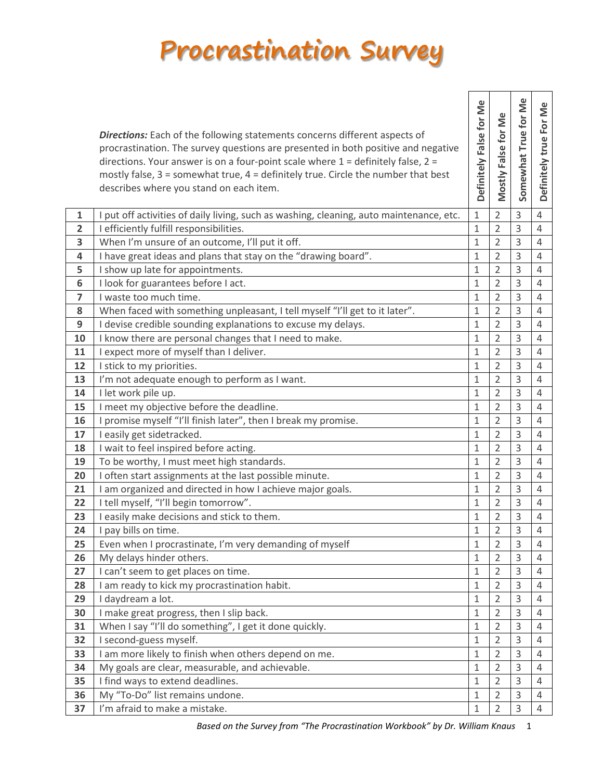## **Procrastination Survey**

|                | <b>Directions:</b> Each of the following statements concerns different aspects of<br>procrastination. The survey questions are presented in both positive and negative<br>directions. Your answer is on a four-point scale where $1$ = definitely false, $2$ =<br>mostly false, $3 =$ somewhat true, $4 =$ definitely true. Circle the number that best<br>describes where you stand on each item. | Definitely False for Me | Mostly False for Me | Somewhat True for Me | Definitely true For Me |
|----------------|----------------------------------------------------------------------------------------------------------------------------------------------------------------------------------------------------------------------------------------------------------------------------------------------------------------------------------------------------------------------------------------------------|-------------------------|---------------------|----------------------|------------------------|
| $\mathbf{1}$   | I put off activities of daily living, such as washing, cleaning, auto maintenance, etc.                                                                                                                                                                                                                                                                                                            | $\mathbf{1}$            | $\overline{2}$      | 3                    | $\overline{4}$         |
| $\overline{2}$ | I efficiently fulfill responsibilities.                                                                                                                                                                                                                                                                                                                                                            | $\mathbf{1}$            | $\overline{2}$      | 3                    | $\overline{4}$         |
| 3              | When I'm unsure of an outcome, I'll put it off.                                                                                                                                                                                                                                                                                                                                                    | $\mathbf{1}$            | $\overline{2}$      | 3                    | $\overline{4}$         |
| 4              | I have great ideas and plans that stay on the "drawing board".                                                                                                                                                                                                                                                                                                                                     | $1\,$                   | $\overline{2}$      | 3                    | $\overline{4}$         |
| 5              | I show up late for appointments.                                                                                                                                                                                                                                                                                                                                                                   | $\mathbf{1}$            | $\overline{2}$      | 3                    | $\overline{4}$         |
| 6              | I look for guarantees before I act.                                                                                                                                                                                                                                                                                                                                                                | 1                       | $\overline{2}$      | 3                    | 4                      |
| $\overline{7}$ | I waste too much time.                                                                                                                                                                                                                                                                                                                                                                             | $1\,$                   | $\overline{2}$      | 3                    | $\overline{4}$         |
| 8              | When faced with something unpleasant, I tell myself "I'll get to it later".                                                                                                                                                                                                                                                                                                                        | $\mathbf{1}$            | $\overline{2}$      | 3                    | $\overline{4}$         |
| 9              | I devise credible sounding explanations to excuse my delays.                                                                                                                                                                                                                                                                                                                                       | $\mathbf{1}$            | $\overline{2}$      | 3                    | 4                      |
| 10             | I know there are personal changes that I need to make.                                                                                                                                                                                                                                                                                                                                             | $\mathbf{1}$            | $\overline{2}$      | 3                    | 4                      |
| 11             | I expect more of myself than I deliver.                                                                                                                                                                                                                                                                                                                                                            | $\mathbf{1}$            | $\overline{2}$      | 3                    | $\overline{4}$         |
| 12             | I stick to my priorities.                                                                                                                                                                                                                                                                                                                                                                          | $\mathbf{1}$            | $\overline{2}$      | 3                    | 4                      |
| 13<br>14       | I'm not adequate enough to perform as I want.<br>I let work pile up.                                                                                                                                                                                                                                                                                                                               | 1<br>$\mathbf{1}$       | 2<br>$\overline{2}$ | 3<br>3               | 4<br>$\overline{4}$    |
| 15             | I meet my objective before the deadline.                                                                                                                                                                                                                                                                                                                                                           | $\mathbf{1}$            | $\overline{2}$      | 3                    | 4                      |
| 16             | I promise myself "I'll finish later", then I break my promise.                                                                                                                                                                                                                                                                                                                                     | $\mathbf{1}$            | $\overline{2}$      | 3                    | $\overline{4}$         |
| 17             | I easily get sidetracked.                                                                                                                                                                                                                                                                                                                                                                          | $\mathbf{1}$            | $\overline{2}$      | 3                    | $\overline{4}$         |
| 18             | I wait to feel inspired before acting.                                                                                                                                                                                                                                                                                                                                                             | $\mathbf{1}$            | $\overline{2}$      | 3                    | $\overline{4}$         |
| 19             | To be worthy, I must meet high standards.                                                                                                                                                                                                                                                                                                                                                          | $\mathbf{1}$            | $\overline{2}$      | 3                    | $\overline{4}$         |
| 20             | I often start assignments at the last possible minute.                                                                                                                                                                                                                                                                                                                                             | $\mathbf{1}$            | $\overline{2}$      | 3                    | $\overline{4}$         |
| 21             | I am organized and directed in how I achieve major goals.                                                                                                                                                                                                                                                                                                                                          | $1\,$                   | $\overline{2}$      | 3                    | $\overline{4}$         |
| 22             | I tell myself, "I'll begin tomorrow".                                                                                                                                                                                                                                                                                                                                                              | $\mathbf{1}$            | $\overline{2}$      | 3                    | $\overline{4}$         |
| 23             | I easily make decisions and stick to them.                                                                                                                                                                                                                                                                                                                                                         | $\mathbf{1}$            | $\overline{2}$      | 3                    | $\overline{4}$         |
| 24             | I pay bills on time.                                                                                                                                                                                                                                                                                                                                                                               | $\mathbf{1}$            | $\overline{2}$      | 3                    | $\overline{4}$         |
| 25             | Even when I procrastinate, I'm very demanding of myself                                                                                                                                                                                                                                                                                                                                            | $1\,$                   | $\overline{2}$      | 3                    | 4                      |
| 26             | My delays hinder others.                                                                                                                                                                                                                                                                                                                                                                           | $\mathbf{1}$            | $\overline{2}$      | 3                    | 4                      |
| 27             | I can't seem to get places on time.                                                                                                                                                                                                                                                                                                                                                                | 1                       | 2                   | 3                    | 4                      |
| 28             | I am ready to kick my procrastination habit.                                                                                                                                                                                                                                                                                                                                                       | $\mathbf{1}$            | $\overline{2}$      | 3                    | 4                      |
| 29             | I daydream a lot.                                                                                                                                                                                                                                                                                                                                                                                  | $\mathbf{1}$            | $\overline{2}$      | 3                    | $\overline{4}$         |
| 30             | I make great progress, then I slip back.                                                                                                                                                                                                                                                                                                                                                           | $1\,$                   | $\overline{2}$      | 3                    | $\overline{4}$         |
| 31             | When I say "I'll do something", I get it done quickly.                                                                                                                                                                                                                                                                                                                                             | 1                       | 2                   | 3                    | 4                      |
| 32             | I second-guess myself.                                                                                                                                                                                                                                                                                                                                                                             | $\mathbf{1}$            | $\overline{2}$      | 3                    | 4                      |
| 33             | I am more likely to finish when others depend on me.                                                                                                                                                                                                                                                                                                                                               | $\mathbf{1}$            | $\overline{2}$      | 3                    | $\overline{4}$         |
| 34             | My goals are clear, measurable, and achievable.                                                                                                                                                                                                                                                                                                                                                    | 1                       | $\overline{2}$      | 3                    | 4                      |
| 35             | I find ways to extend deadlines.                                                                                                                                                                                                                                                                                                                                                                   | $\mathbf{1}$            | $\overline{2}$      | 3                    | $\overline{4}$         |
| 36             | My "To-Do" list remains undone.                                                                                                                                                                                                                                                                                                                                                                    | $\mathbf{1}$            | $\overline{2}$      | 3                    | $\overline{4}$         |
| 37             | I'm afraid to make a mistake.                                                                                                                                                                                                                                                                                                                                                                      | 1                       | 2                   | 3                    | 4                      |

*Based on the Survey from "The Procrastination Workbook" by Dr. William Knaus* 1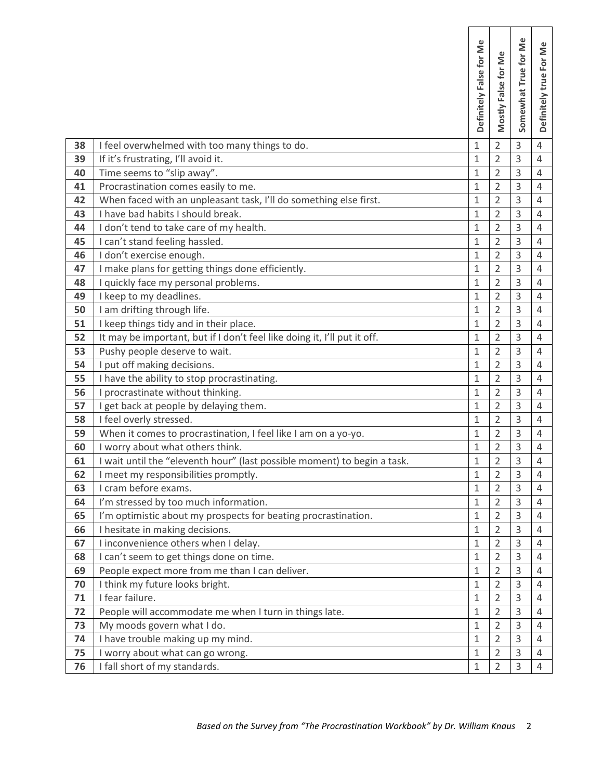|    |                                                                              | Definitely False for Me | Mostly False for Me | Somewhat True for Me | Definitely true For Me |
|----|------------------------------------------------------------------------------|-------------------------|---------------------|----------------------|------------------------|
| 38 | I feel overwhelmed with too many things to do.                               | 1                       | $\overline{2}$      | 3                    | $\overline{4}$         |
| 39 | If it's frustrating, I'll avoid it.                                          | $\mathbf{1}$            | $\overline{2}$      | 3                    | 4                      |
| 40 | Time seems to "slip away".                                                   | 1                       | 2                   | 3                    | $\overline{4}$         |
| 41 | Procrastination comes easily to me.                                          | $\overline{1}$          | $\overline{2}$      | 3                    | $\overline{4}$         |
| 42 | When faced with an unpleasant task, I'll do something else first.            | $\mathbf{1}$            | $\overline{2}$      | 3                    | 4                      |
| 43 | I have bad habits I should break.                                            | $\mathbf{1}$            | $\overline{2}$      | 3                    | $\overline{4}$         |
| 44 | I don't tend to take care of my health.                                      | 1                       | 2                   | 3                    | 4                      |
| 45 | I can't stand feeling hassled.                                               | $\mathbf{1}$            | $\overline{2}$      | 3                    | 4                      |
| 46 | I don't exercise enough.                                                     | $\overline{1}$          | $\overline{2}$      | 3                    | $\overline{4}$         |
| 47 | I make plans for getting things done efficiently.                            | $\mathbf 1$             | $\overline{2}$      | 3                    | 4                      |
| 48 | I quickly face my personal problems.                                         | $\mathbf{1}$            | $\overline{2}$      | 3                    | 4                      |
| 49 | I keep to my deadlines.                                                      | $\overline{1}$          | $\overline{2}$      | 3                    | $\overline{4}$         |
| 50 | I am drifting through life.                                                  | 1                       | $\overline{2}$      | 3                    | $\overline{4}$         |
| 51 | I keep things tidy and in their place.                                       | 1                       | $\overline{2}$      | 3                    | $\overline{4}$         |
| 52 | It may be important, but if I don't feel like doing it, I'll put it off.     | $\overline{1}$          | $\overline{2}$      | 3                    | $\overline{4}$         |
| 53 | Pushy people deserve to wait.                                                | $\mathbf{1}$            | $\overline{2}$      | 3                    | 4                      |
| 54 | I put off making decisions.                                                  | 1                       | $\overline{2}$      | 3                    | $\overline{4}$         |
| 55 | I have the ability to stop procrastinating.                                  | $\mathbf{1}$            | $\overline{2}$      | 3                    | $\overline{4}$         |
| 56 | I procrastinate without thinking.                                            | $\mathbf{1}$            | $\overline{2}$      | 3                    | $\overline{4}$         |
| 57 | I get back at people by delaying them.                                       | 1                       | 2                   | 3                    | 4                      |
| 58 | I feel overly stressed.                                                      | $\mathbf 1$             | $\overline{2}$      | 3                    | $\overline{4}$         |
| 59 | When it comes to procrastination, I feel like I am on a yo-yo.               | $\mathbf{1}$            | $\overline{2}$      | 3                    | 4                      |
| 60 | I worry about what others think.                                             | $\mathbf 1$             | $\overline{2}$      | 3                    | 4                      |
| 61 | I wait until the "eleventh hour" (last possible moment) to begin a task.     | 1                       | $\overline{2}$      | 3                    | $\sqrt{4}$             |
| 62 | I meet my responsibilities promptly.                                         | $\mathbf 1$             | $\overline{2}$      | 3                    | $\sqrt{4}$             |
| 63 | I cram before exams.                                                         | $\mathbf 1$             | $\overline{2}$      | 3                    | $\overline{4}$         |
| 64 | I'm stressed by too much information.                                        | $\mathbf{1}$            | $\overline{2}$      | 3                    | 4                      |
| 65 | I'm optimistic about my prospects for beating procrastination.               | $\mathbf{1}$            | $\overline{2}$      | 3                    | 4                      |
| 66 | I hesitate in making decisions.                                              | $\mathbf 1$             | $\overline{2}$      | 3                    | 4                      |
| 67 | I inconvenience others when I delay.                                         | $\mathbf{1}$            | $\overline{2}$      | 3                    | 4                      |
| 68 | I can't seem to get things done on time.                                     | 1                       | $\overline{2}$      | 3                    | 4                      |
| 69 | People expect more from me than I can deliver.                               | $\mathbf 1$             | 2                   | 3                    | 4                      |
| 70 | I think my future looks bright.                                              | $\mathbf{1}$            | $\overline{2}$      | 3                    | 4                      |
| 71 | I fear failure.                                                              | 1                       | 2                   | 3                    | 4                      |
| 72 | People will accommodate me when I turn in things late.                       | 1                       | 2                   | 3                    | 4                      |
| 73 | My moods govern what I do.                                                   | $\mathbf{1}$            | $\overline{2}$      | 3                    | 4                      |
| 74 | I have trouble making up my mind.                                            | $\mathbf 1$             | $\overline{2}$      | 3                    | 4                      |
| 75 | I worry about what can go wrong.                                             | 1                       | 2                   | 3                    | 4                      |
| 76 | I fall short of my standards.                                                | $\mathbf{1}$            | $\overline{2}$      | 3                    | $\overline{4}$         |
|    | Based on the Survey from "The Procrastination Workbook" by Dr. William Knaus |                         |                     | $\overline{2}$       |                        |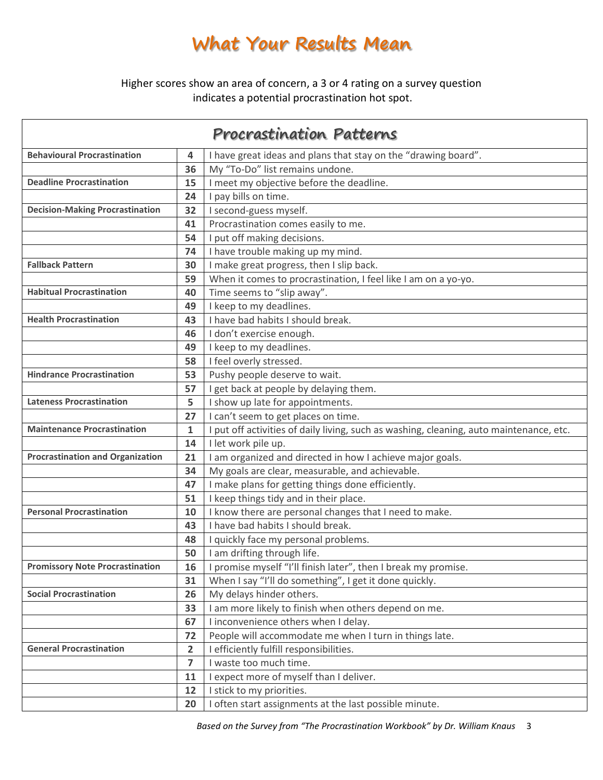## **What Your Results Mean**

Higher scores show an area of concern, a 3 or 4 rating on a survey question indicates a potential procrastination hot spot.

| <b>Procrastination Patterns</b>         |                                  |                                                                                         |  |  |
|-----------------------------------------|----------------------------------|-----------------------------------------------------------------------------------------|--|--|
| <b>Behavioural Procrastination</b>      | 4                                | I have great ideas and plans that stay on the "drawing board".                          |  |  |
|                                         | 36                               | My "To-Do" list remains undone.                                                         |  |  |
| <b>Deadline Procrastination</b>         | 15                               | I meet my objective before the deadline.                                                |  |  |
|                                         | 24                               | I pay bills on time.                                                                    |  |  |
| <b>Decision-Making Procrastination</b>  | 32                               | I second-guess myself.                                                                  |  |  |
|                                         | 41                               | Procrastination comes easily to me.                                                     |  |  |
|                                         | 54                               | I put off making decisions.                                                             |  |  |
|                                         | 74                               | I have trouble making up my mind.                                                       |  |  |
| <b>Fallback Pattern</b>                 | 30                               | I make great progress, then I slip back.                                                |  |  |
|                                         | 59                               | When it comes to procrastination, I feel like I am on a yo-yo.                          |  |  |
| <b>Habitual Procrastination</b>         | 40                               | Time seems to "slip away".                                                              |  |  |
|                                         | 49                               | I keep to my deadlines.                                                                 |  |  |
| <b>Health Procrastination</b>           | 43                               | I have bad habits I should break.                                                       |  |  |
|                                         | 46                               | I don't exercise enough.                                                                |  |  |
|                                         | 49                               | I keep to my deadlines.                                                                 |  |  |
|                                         | 58                               | I feel overly stressed.                                                                 |  |  |
| <b>Hindrance Procrastination</b>        | 53                               | Pushy people deserve to wait.                                                           |  |  |
|                                         | 57                               | I get back at people by delaying them.                                                  |  |  |
| <b>Lateness Procrastination</b>         | 5                                | I show up late for appointments.                                                        |  |  |
|                                         | 27                               | I can't seem to get places on time.                                                     |  |  |
| <b>Maintenance Procrastination</b>      | $\mathbf{1}$                     | I put off activities of daily living, such as washing, cleaning, auto maintenance, etc. |  |  |
|                                         | 14                               | I let work pile up.                                                                     |  |  |
| <b>Procrastination and Organization</b> | 21                               | I am organized and directed in how I achieve major goals.                               |  |  |
|                                         | 34                               | My goals are clear, measurable, and achievable.                                         |  |  |
|                                         | 47                               | I make plans for getting things done efficiently.                                       |  |  |
|                                         | 51                               | I keep things tidy and in their place.                                                  |  |  |
| <b>Personal Procrastination</b>         | 10                               | I know there are personal changes that I need to make.                                  |  |  |
|                                         | 43                               | I have bad habits I should break.                                                       |  |  |
|                                         | 48                               | I quickly face my personal problems.                                                    |  |  |
|                                         | 50                               | I am drifting through life.                                                             |  |  |
| <b>Promissory Note Procrastination</b>  | 16                               | I promise myself "I'll finish later", then I break my promise.                          |  |  |
|                                         | 31                               | When I say "I'll do something", I get it done quickly.                                  |  |  |
| <b>Social Procrastination</b>           | 26                               | My delays hinder others.                                                                |  |  |
|                                         | 33                               | I am more likely to finish when others depend on me.                                    |  |  |
|                                         | 67                               | I inconvenience others when I delay.                                                    |  |  |
| <b>General Procrastination</b>          | 72                               | People will accommodate me when I turn in things late.                                  |  |  |
|                                         | $\overline{2}$<br>$\overline{7}$ | I efficiently fulfill responsibilities.                                                 |  |  |
|                                         |                                  | I waste too much time.<br>I expect more of myself than I deliver.                       |  |  |
|                                         | 11                               |                                                                                         |  |  |
|                                         | 12                               | I stick to my priorities.                                                               |  |  |
|                                         | 20                               | I often start assignments at the last possible minute.                                  |  |  |